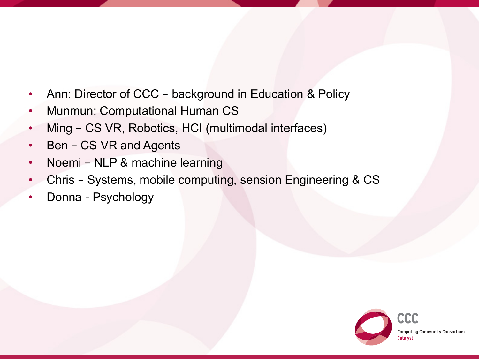- Ann: Director of CCC background in Education & Policy
- Munmun: Computational Human CS
- Ming CS VR, Robotics, HCI (multimodal interfaces)
- Ben CS VR and Agents
- Noemi NLP & machine learning
- Chris Systems, mobile computing, sension Engineering & CS
- Donna Psychology

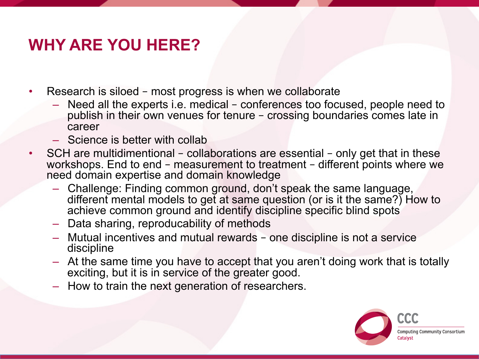## **WHY ARE YOU HERE?**

- Research is siloed most progress is when we collaborate
	- Need all the experts i.e. medical conferences too focused, people need to publish in their own venues for tenure – crossing boundaries comes late in career
	- Science is better with collab
- SCH are multidimentional collaborations are essential only get that in these workshops. End to end - measurement to treatment - different points where we need domain expertise and domain knowledge
	- Challenge: Finding common ground, don't speak the same language, different mental models to get at same question (or is it the same?) How to achieve common ground and identify discipline specific blind spots
	- Data sharing, reproducability of methods
	- Mutual incentives and mutual rewards one discipline is not a service discipline
	- At the same time you have to accept that you aren't doing work that is totally exciting, but it is in service of the greater good.
	- How to train the next generation of researchers.

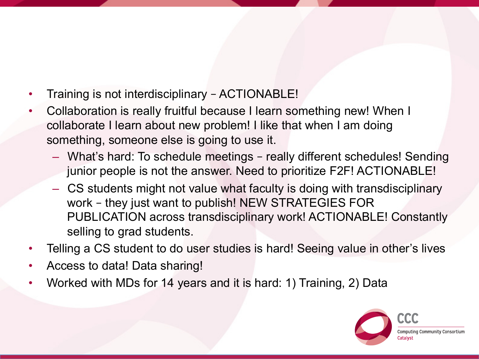- Training is not interdisciplinary ACTIONABLE!
- Collaboration is really fruitful because I learn something new! When I collaborate I learn about new problem! I like that when I am doing something, someone else is going to use it.
	- What's hard: To schedule meetings really different schedules! Sending junior people is not the answer. Need to prioritize F2F! ACTIONABLE!
	- CS students might not value what faculty is doing with transdisciplinary work – they just want to publish! NEW STRATEGIES FOR PUBLICATION across transdisciplinary work! ACTIONABLE! Constantly selling to grad students.
- Telling a CS student to do user studies is hard! Seeing value in other's lives
- Access to data! Data sharing!
- Worked with MDs for 14 years and it is hard: 1) Training, 2) Data

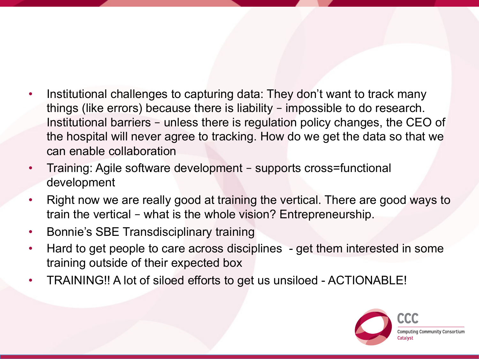- Institutional challenges to capturing data: They don't want to track many things (like errors) because there is liability – impossible to do research. Institutional barriers – unless there is regulation policy changes, the CEO of the hospital will never agree to tracking. How do we get the data so that we can enable collaboration
- Training: Agile software development supports cross=functional development
- Right now we are really good at training the vertical. There are good ways to train the vertical – what is the whole vision? Entrepreneurship.
- Bonnie's SBE Transdisciplinary training
- Hard to get people to care across disciplines get them interested in some training outside of their expected box
- TRAINING!! A lot of siloed efforts to get us unsiloed ACTIONABLE!

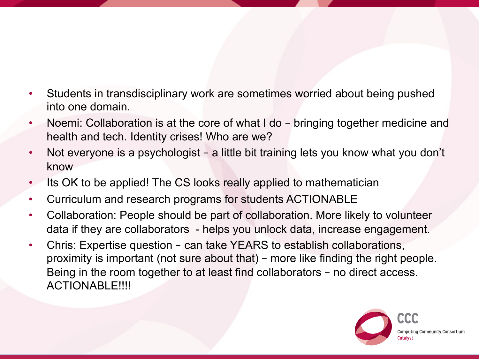- Students in transdisciplinary work are sometimes worried about being pushed into one domain.
- Noemi: Collaboration is at the core of what I do bringing together medicine and health and tech. Identity crises! Who are we?
- Not everyone is a psychologist a little bit training lets you know what you don't know
- Its OK to be applied! The CS looks really applied to mathematician
- Curriculum and research programs for students ACTIONABLE
- Collaboration: People should be part of collaboration. More likely to volunteer data if they are collaborators - helps you unlock data, increase engagement.
- Chris: Expertise question can take YEARS to establish collaborations, proximity is important (not sure about that) – more like finding the right people. Being in the room together to at least find collaborators – no direct access. ACTIONABLE!!!!

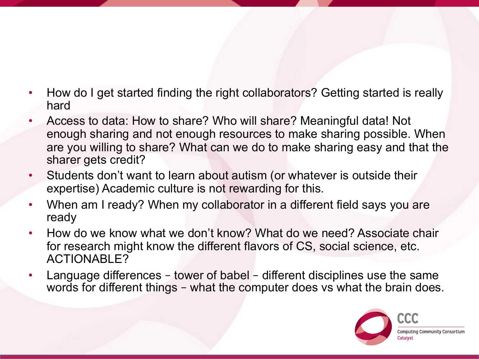- How do I get started finding the right collaborators? Getting started is really hard
- Access to data: How to share? Who will share? Meaningful data! Not enough sharing and not enough resources to make sharing possible. When are you willing to share? What can we do to make sharing easy and that the sharer gets credit?
- Students don't want to learn about autism (or whatever is outside their expertise) Academic culture is not rewarding for this.
- When am I ready? When my collaborator in a different field says you are ready
- How do we know what we don't know? What do we need? Associate chair for research might know the different flavors of CS, social science, etc. ACTIONABLE?
- Language differences tower of babel different disciplines use the same words for different things – what the computer does vs what the brain does.

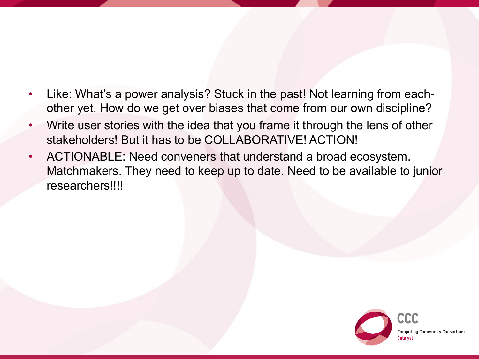- Like: What's a power analysis? Stuck in the past! Not learning from eachother yet. How do we get over biases that come from our own discipline?
- Write user stories with the idea that you frame it through the lens of other stakeholders! But it has to be COLLABORATIVE! ACTION!
- ACTIONABLE: Need conveners that understand a broad ecosystem. Matchmakers. They need to keep up to date. Need to be available to junior researchers!!!!

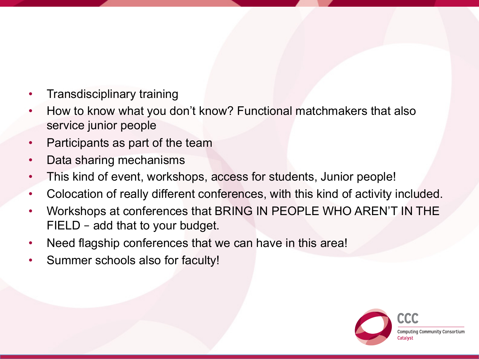- Transdisciplinary training
- How to know what you don't know? Functional matchmakers that also service junior people
- Participants as part of the team
- Data sharing mechanisms
- This kind of event, workshops, access for students, Junior people!
- Colocation of really different conferences, with this kind of activity included.
- Workshops at conferences that BRING IN PEOPLE WHO AREN'T IN THE FIELD – add that to your budget.
- Need flagship conferences that we can have in this area!
- Summer schools also for faculty!